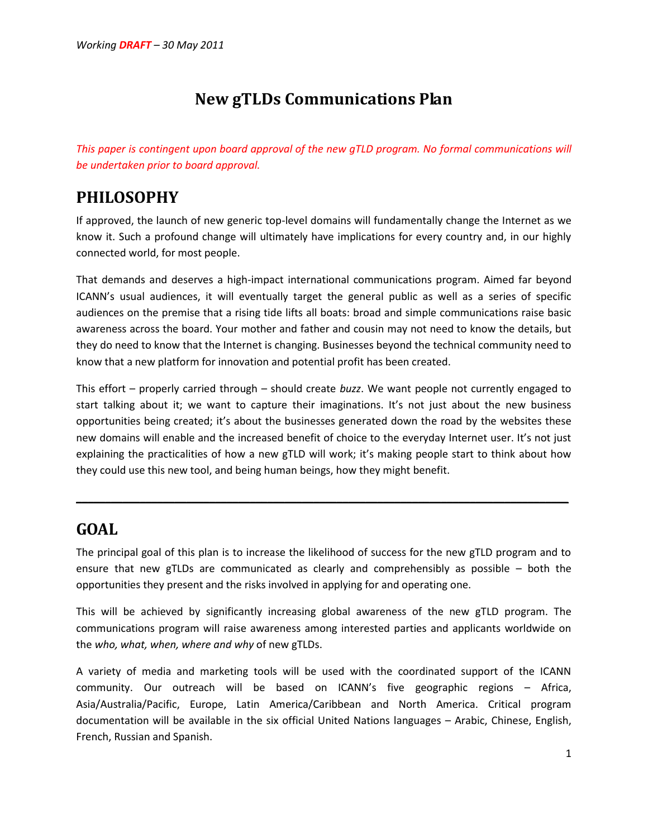# **New gTLDs Communications Plan**

*This paper is contingent upon board approval of the new gTLD program. No formal communications will be undertaken prior to board approval.* 

## **PHILOSOPHY**

If approved, the launch of new generic top-level domains will fundamentally change the Internet as we know it. Such a profound change will ultimately have implications for every country and, in our highly connected world, for most people.

That demands and deserves a high-impact international communications program. Aimed far beyond ICANN's usual audiences, it will eventually target the general public as well as a series of specific audiences on the premise that a rising tide lifts all boats: broad and simple communications raise basic awareness across the board. Your mother and father and cousin may not need to know the details, but they do need to know that the Internet is changing. Businesses beyond the technical community need to know that a new platform for innovation and potential profit has been created.

This effort – properly carried through – should create *buzz*. We want people not currently engaged to start talking about it; we want to capture their imaginations. It's not just about the new business opportunities being created; it's about the businesses generated down the road by the websites these new domains will enable and the increased benefit of choice to the everyday Internet user. It's not just explaining the practicalities of how a new gTLD will work; it's making people start to think about how they could use this new tool, and being human beings, how they might benefit.

# **GOAL**

The principal goal of this plan is to increase the likelihood of success for the new gTLD program and to ensure that new gTLDs are communicated as clearly and comprehensibly as possible – both the opportunities they present and the risks involved in applying for and operating one.

\_\_\_\_\_\_\_\_\_\_\_\_\_\_\_\_\_\_\_\_\_\_\_\_\_\_\_\_\_\_\_\_\_\_\_\_\_\_\_\_\_\_\_\_\_\_\_\_\_\_\_\_\_\_\_\_\_\_\_\_\_\_\_\_\_\_\_\_\_\_\_\_\_\_\_\_\_\_\_\_\_\_\_\_\_

This will be achieved by significantly increasing global awareness of the new gTLD program. The communications program will raise awareness among interested parties and applicants worldwide on the *who, what, when, where and why* of new gTLDs.

A variety of media and marketing tools will be used with the coordinated support of the ICANN community. Our outreach will be based on ICANN's five geographic regions – Africa, Asia/Australia/Pacific, Europe, Latin America/Caribbean and North America. Critical program documentation will be available in the six official United Nations languages – Arabic, Chinese, English, French, Russian and Spanish.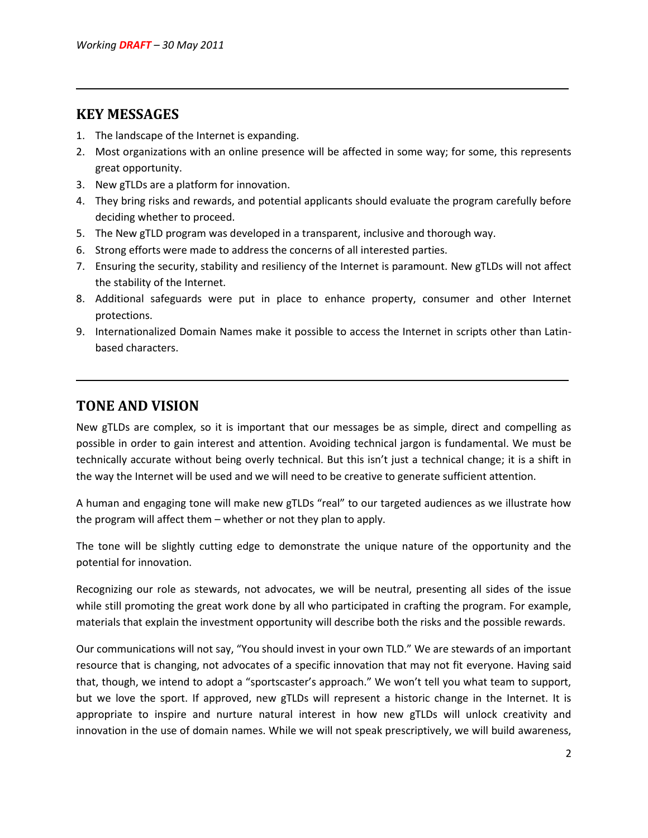#### **KEY MESSAGES**

- 1. The landscape of the Internet is expanding.
- 2. Most organizations with an online presence will be affected in some way; for some, this represents great opportunity.

\_\_\_\_\_\_\_\_\_\_\_\_\_\_\_\_\_\_\_\_\_\_\_\_\_\_\_\_\_\_\_\_\_\_\_\_\_\_\_\_\_\_\_\_\_\_\_\_\_\_\_\_\_\_\_\_\_\_\_\_\_\_\_\_\_\_\_\_\_\_\_\_\_\_\_\_\_\_\_\_\_\_\_\_\_

- 3. New gTLDs are a platform for innovation.
- 4. They bring risks and rewards, and potential applicants should evaluate the program carefully before deciding whether to proceed.
- 5. The New gTLD program was developed in a transparent, inclusive and thorough way.
- 6. Strong efforts were made to address the concerns of all interested parties.
- 7. Ensuring the security, stability and resiliency of the Internet is paramount. New gTLDs will not affect the stability of the Internet.
- 8. Additional safeguards were put in place to enhance property, consumer and other Internet protections.
- 9. Internationalized Domain Names make it possible to access the Internet in scripts other than Latinbased characters.

\_\_\_\_\_\_\_\_\_\_\_\_\_\_\_\_\_\_\_\_\_\_\_\_\_\_\_\_\_\_\_\_\_\_\_\_\_\_\_\_\_\_\_\_\_\_\_\_\_\_\_\_\_\_\_\_\_\_\_\_\_\_\_\_\_\_\_\_\_\_\_\_\_\_\_\_\_\_\_\_\_\_\_\_\_

#### **TONE AND VISION**

New gTLDs are complex, so it is important that our messages be as simple, direct and compelling as possible in order to gain interest and attention. Avoiding technical jargon is fundamental. We must be technically accurate without being overly technical. But this isn't just a technical change; it is a shift in the way the Internet will be used and we will need to be creative to generate sufficient attention.

A human and engaging tone will make new gTLDs "real" to our targeted audiences as we illustrate how the program will affect them – whether or not they plan to apply.

The tone will be slightly cutting edge to demonstrate the unique nature of the opportunity and the potential for innovation.

Recognizing our role as stewards, not advocates, we will be neutral, presenting all sides of the issue while still promoting the great work done by all who participated in crafting the program. For example, materials that explain the investment opportunity will describe both the risks and the possible rewards.

Our communications will not say, "You should invest in your own TLD." We are stewards of an important resource that is changing, not advocates of a specific innovation that may not fit everyone. Having said that, though, we intend to adopt a "sportscaster's approach." We won't tell you what team to support, but we love the sport. If approved, new gTLDs will represent a historic change in the Internet. It is appropriate to inspire and nurture natural interest in how new gTLDs will unlock creativity and innovation in the use of domain names. While we will not speak prescriptively, we will build awareness,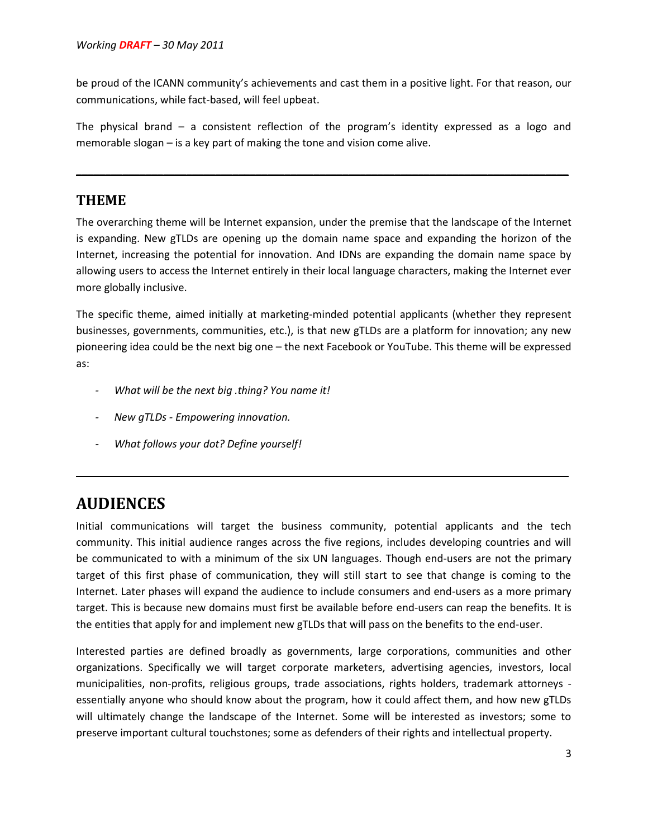be proud of the ICANN community's achievements and cast them in a positive light. For that reason, our communications, while fact-based, will feel upbeat.

The physical brand – a consistent reflection of the program's identity expressed as a logo and memorable slogan – is a key part of making the tone and vision come alive.

\_\_\_\_\_\_\_\_\_\_\_\_\_\_\_\_\_\_\_\_\_\_\_\_\_\_\_\_\_\_\_\_\_\_\_\_\_\_\_\_\_\_\_\_\_\_\_\_\_\_\_\_\_\_\_\_\_\_\_\_\_\_\_\_\_\_\_\_\_\_\_\_\_\_\_\_\_\_\_\_\_\_\_\_\_

#### **THEME**

The overarching theme will be Internet expansion, under the premise that the landscape of the Internet is expanding. New gTLDs are opening up the domain name space and expanding the horizon of the Internet, increasing the potential for innovation. And IDNs are expanding the domain name space by allowing users to access the Internet entirely in their local language characters, making the Internet ever more globally inclusive.

The specific theme, aimed initially at marketing-minded potential applicants (whether they represent businesses, governments, communities, etc.), is that new gTLDs are a platform for innovation; any new pioneering idea could be the next big one – the next Facebook or YouTube. This theme will be expressed as:

- *- What will be the next big .thing? You name it!*
- *- New gTLDs - Empowering innovation.*
- *- What follows your dot? Define yourself!*

## **AUDIENCES**

Initial communications will target the business community, potential applicants and the tech community. This initial audience ranges across the five regions, includes developing countries and will be communicated to with a minimum of the six UN languages. Though end-users are not the primary target of this first phase of communication, they will still start to see that change is coming to the Internet. Later phases will expand the audience to include consumers and end-users as a more primary target. This is because new domains must first be available before end-users can reap the benefits. It is the entities that apply for and implement new gTLDs that will pass on the benefits to the end-user.

\_\_\_\_\_\_\_\_\_\_\_\_\_\_\_\_\_\_\_\_\_\_\_\_\_\_\_\_\_\_\_\_\_\_\_\_\_\_\_\_\_\_\_\_\_\_\_\_\_\_\_\_\_\_\_\_\_\_\_\_\_\_\_\_\_\_\_\_\_\_\_\_\_\_\_\_\_\_\_\_\_\_\_\_\_

Interested parties are defined broadly as governments, large corporations, communities and other organizations. Specifically we will target corporate marketers, advertising agencies, investors, local municipalities, non-profits, religious groups, trade associations, rights holders, trademark attorneys essentially anyone who should know about the program, how it could affect them, and how new gTLDs will ultimately change the landscape of the Internet. Some will be interested as investors; some to preserve important cultural touchstones; some as defenders of their rights and intellectual property.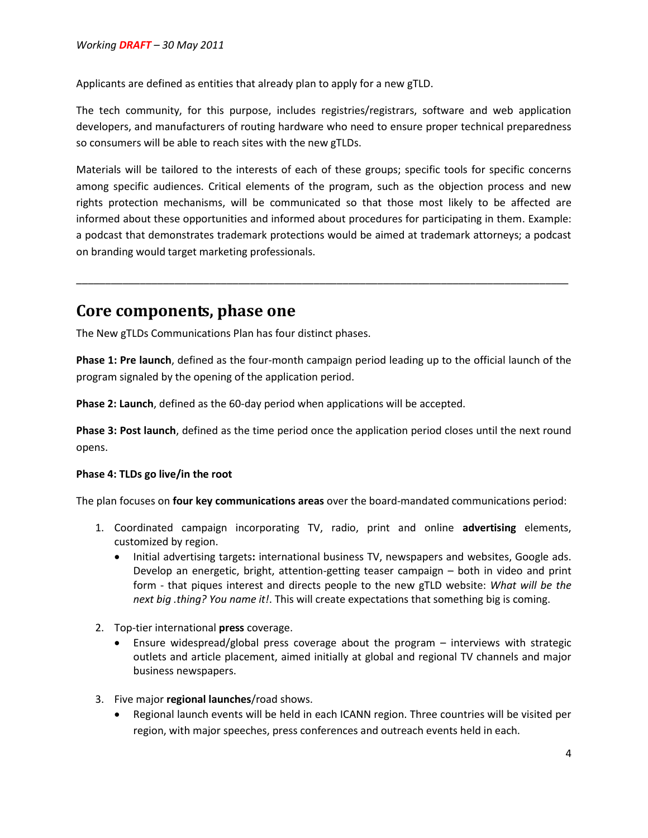Applicants are defined as entities that already plan to apply for a new gTLD.

The tech community, for this purpose, includes registries/registrars, software and web application developers, and manufacturers of routing hardware who need to ensure proper technical preparedness so consumers will be able to reach sites with the new gTLDs.

Materials will be tailored to the interests of each of these groups; specific tools for specific concerns among specific audiences. Critical elements of the program, such as the objection process and new rights protection mechanisms, will be communicated so that those most likely to be affected are informed about these opportunities and informed about procedures for participating in them. Example: a podcast that demonstrates trademark protections would be aimed at trademark attorneys; a podcast on branding would target marketing professionals.

\_\_\_\_\_\_\_\_\_\_\_\_\_\_\_\_\_\_\_\_\_\_\_\_\_\_\_\_\_\_\_\_\_\_\_\_\_\_\_\_\_\_\_\_\_\_\_\_\_\_\_\_\_\_\_\_\_\_\_\_\_\_\_\_\_\_\_\_\_\_\_\_\_\_\_\_\_\_\_\_\_\_\_\_\_

## **Core components, phase one**

The New gTLDs Communications Plan has four distinct phases.

**Phase 1: Pre launch**, defined as the four-month campaign period leading up to the official launch of the program signaled by the opening of the application period.

**Phase 2: Launch**, defined as the 60-day period when applications will be accepted.

**Phase 3: Post launch**, defined as the time period once the application period closes until the next round opens.

#### **Phase 4: TLDs go live/in the root**

The plan focuses on **four key communications areas** over the board-mandated communications period:

- 1. Coordinated campaign incorporating TV, radio, print and online **advertising** elements, customized by region.
	- Initial advertising targets**:** international business TV, newspapers and websites, Google ads. Develop an energetic, bright, attention-getting teaser campaign – both in video and print form - that piques interest and directs people to the new gTLD website: *What will be the next big .thing? You name it!*. This will create expectations that something big is coming.
- 2. Top-tier international **press** coverage.
	- Ensure widespread/global press coverage about the program interviews with strategic outlets and article placement, aimed initially at global and regional TV channels and major business newspapers.
- 3. Five major **regional launches**/road shows.
	- Regional launch events will be held in each ICANN region. Three countries will be visited per region, with major speeches, press conferences and outreach events held in each.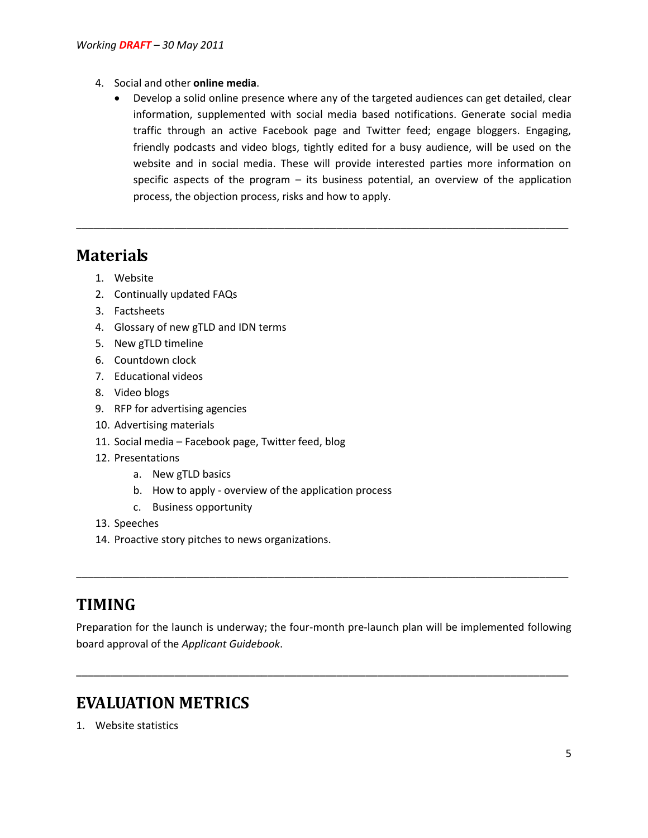- 4. Social and other **online media**.
	- Develop a solid online presence where any of the targeted audiences can get detailed, clear information, supplemented with social media based notifications. Generate social media traffic through an active Facebook page and Twitter feed; engage bloggers. Engaging, friendly podcasts and video blogs, tightly edited for a busy audience, will be used on the website and in social media. These will provide interested parties more information on specific aspects of the program – its business potential, an overview of the application process, the objection process, risks and how to apply.

\_\_\_\_\_\_\_\_\_\_\_\_\_\_\_\_\_\_\_\_\_\_\_\_\_\_\_\_\_\_\_\_\_\_\_\_\_\_\_\_\_\_\_\_\_\_\_\_\_\_\_\_\_\_\_\_\_\_\_\_\_\_\_\_\_\_\_\_\_\_\_\_\_\_\_\_\_\_\_\_\_\_\_\_\_

## **Materials**

- 1. Website
- 2. Continually updated FAQs
- 3. Factsheets
- 4. Glossary of new gTLD and IDN terms
- 5. New gTLD timeline
- 6. Countdown clock
- 7. Educational videos
- 8. Video blogs
- 9. RFP for advertising agencies
- 10. Advertising materials
- 11. Social media Facebook page, Twitter feed, blog
- 12. Presentations
	- a. New gTLD basics
	- b. How to apply overview of the application process
	- c. Business opportunity
- 13. Speeches
- 14. Proactive story pitches to news organizations.

## **TIMING**

Preparation for the launch is underway; the four-month pre-launch plan will be implemented following board approval of the *Applicant Guidebook*.

\_\_\_\_\_\_\_\_\_\_\_\_\_\_\_\_\_\_\_\_\_\_\_\_\_\_\_\_\_\_\_\_\_\_\_\_\_\_\_\_\_\_\_\_\_\_\_\_\_\_\_\_\_\_\_\_\_\_\_\_\_\_\_\_\_\_\_\_\_\_\_\_\_\_\_\_\_\_\_\_\_\_\_\_\_

\_\_\_\_\_\_\_\_\_\_\_\_\_\_\_\_\_\_\_\_\_\_\_\_\_\_\_\_\_\_\_\_\_\_\_\_\_\_\_\_\_\_\_\_\_\_\_\_\_\_\_\_\_\_\_\_\_\_\_\_\_\_\_\_\_\_\_\_\_\_\_\_\_\_\_\_\_\_\_\_\_\_\_\_\_

# **EVALUATION METRICS**

1. Website statistics